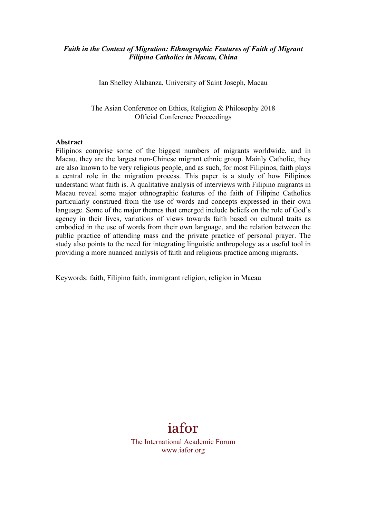## *Faith in the Context of Migration: Ethnographic Features of Faith of Migrant Filipino Catholics in Macau, China*

Ian Shelley Alabanza, University of Saint Joseph, Macau

The Asian Conference on Ethics, Religion & Philosophy 2018 Official Conference Proceedings

#### **Abstract**

Filipinos comprise some of the biggest numbers of migrants worldwide, and in Macau, they are the largest non-Chinese migrant ethnic group. Mainly Catholic, they are also known to be very religious people, and as such, for most Filipinos, faith plays a central role in the migration process. This paper is a study of how Filipinos understand what faith is. A qualitative analysis of interviews with Filipino migrants in Macau reveal some major ethnographic features of the faith of Filipino Catholics particularly construed from the use of words and concepts expressed in their own language. Some of the major themes that emerged include beliefs on the role of God's agency in their lives, variations of views towards faith based on cultural traits as embodied in the use of words from their own language, and the relation between the public practice of attending mass and the private practice of personal prayer. The study also points to the need for integrating linguistic anthropology as a useful tool in providing a more nuanced analysis of faith and religious practice among migrants.

Keywords: faith, Filipino faith, immigrant religion, religion in Macau

# iafor

The International Academic Forum www.iafor.org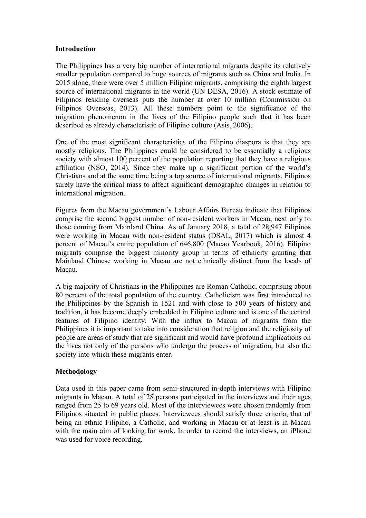## **Introduction**

The Philippines has a very big number of international migrants despite its relatively smaller population compared to huge sources of migrants such as China and India. In 2015 alone, there were over 5 million Filipino migrants, comprising the eighth largest source of international migrants in the world (UN DESA, 2016). A stock estimate of Filipinos residing overseas puts the number at over 10 million (Commission on Filipinos Overseas, 2013). All these numbers point to the significance of the migration phenomenon in the lives of the Filipino people such that it has been described as already characteristic of Filipino culture (Asis, 2006).

One of the most significant characteristics of the Filipino diaspora is that they are mostly religious. The Philippines could be considered to be essentially a religious society with almost 100 percent of the population reporting that they have a religious affiliation (NSO, 2014). Since they make up a significant portion of the world's Christians and at the same time being a top source of international migrants, Filipinos surely have the critical mass to affect significant demographic changes in relation to international migration.

Figures from the Macau government's Labour Affairs Bureau indicate that Filipinos comprise the second biggest number of non-resident workers in Macau, next only to those coming from Mainland China. As of January 2018, a total of 28,947 Filipinos were working in Macau with non-resident status (DSAL, 2017) which is almost 4 percent of Macau's entire population of 646,800 (Macao Yearbook, 2016). Filipino migrants comprise the biggest minority group in terms of ethnicity granting that Mainland Chinese working in Macau are not ethnically distinct from the locals of Macau.

A big majority of Christians in the Philippines are Roman Catholic, comprising about 80 percent of the total population of the country. Catholicism was first introduced to the Philippines by the Spanish in 1521 and with close to 500 years of history and tradition, it has become deeply embedded in Filipino culture and is one of the central features of Filipino identity. With the influx to Macau of migrants from the Philippines it is important to take into consideration that religion and the religiosity of people are areas of study that are significant and would have profound implications on the lives not only of the persons who undergo the process of migration, but also the society into which these migrants enter.

# **Methodology**

Data used in this paper came from semi-structured in-depth interviews with Filipino migrants in Macau. A total of 28 persons participated in the interviews and their ages ranged from 25 to 69 years old. Most of the interviewees were chosen randomly from Filipinos situated in public places. Interviewees should satisfy three criteria, that of being an ethnic Filipino, a Catholic, and working in Macau or at least is in Macau with the main aim of looking for work. In order to record the interviews, an iPhone was used for voice recording.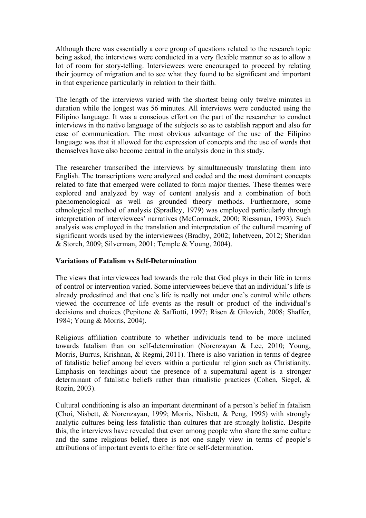Although there was essentially a core group of questions related to the research topic being asked, the interviews were conducted in a very flexible manner so as to allow a lot of room for story-telling. Interviewees were encouraged to proceed by relating their journey of migration and to see what they found to be significant and important in that experience particularly in relation to their faith.

The length of the interviews varied with the shortest being only twelve minutes in duration while the longest was 56 minutes. All interviews were conducted using the Filipino language. It was a conscious effort on the part of the researcher to conduct interviews in the native language of the subjects so as to establish rapport and also for ease of communication. The most obvious advantage of the use of the Filipino language was that it allowed for the expression of concepts and the use of words that themselves have also become central in the analysis done in this study.

The researcher transcribed the interviews by simultaneously translating them into English. The transcriptions were analyzed and coded and the most dominant concepts related to fate that emerged were collated to form major themes. These themes were explored and analyzed by way of content analysis and a combination of both phenomenological as well as grounded theory methods. Furthermore, some ethnological method of analysis (Spradley, 1979) was employed particularly through interpretation of interviewees' narratives (McCormack, 2000; Riessman, 1993). Such analysis was employed in the translation and interpretation of the cultural meaning of significant words used by the interviewees (Bradby, 2002; Inhetveen, 2012; Sheridan & Storch, 2009; Silverman, 2001; Temple & Young, 2004).

# **Variations of Fatalism vs Self-Determination**

The views that interviewees had towards the role that God plays in their life in terms of control or intervention varied. Some interviewees believe that an individual's life is already predestined and that one's life is really not under one's control while others viewed the occurrence of life events as the result or product of the individual's decisions and choices (Pepitone & Saffiotti, 1997; Risen & Gilovich, 2008; Shaffer, 1984; Young & Morris, 2004).

Religious affiliation contribute to whether individuals tend to be more inclined towards fatalism than on self-determination (Norenzayan & Lee, 2010; Young, Morris, Burrus, Krishnan, & Regmi, 2011). There is also variation in terms of degree of fatalistic belief among believers within a particular religion such as Christianity. Emphasis on teachings about the presence of a supernatural agent is a stronger determinant of fatalistic beliefs rather than ritualistic practices (Cohen, Siegel, & Rozin, 2003).

Cultural conditioning is also an important determinant of a person's belief in fatalism (Choi, Nisbett, & Norenzayan, 1999; Morris, Nisbett, & Peng, 1995) with strongly analytic cultures being less fatalistic than cultures that are strongly holistic. Despite this, the interviews have revealed that even among people who share the same culture and the same religious belief, there is not one singly view in terms of people's attributions of important events to either fate or self-determination.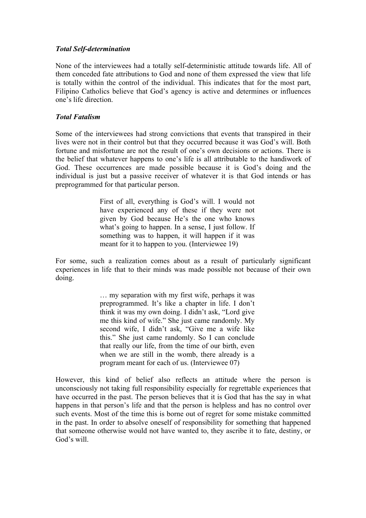# *Total Self-determination*

None of the interviewees had a totally self-deterministic attitude towards life. All of them conceded fate attributions to God and none of them expressed the view that life is totally within the control of the individual. This indicates that for the most part, Filipino Catholics believe that God's agency is active and determines or influences one's life direction.

# *Total Fatalism*

Some of the interviewees had strong convictions that events that transpired in their lives were not in their control but that they occurred because it was God's will. Both fortune and misfortune are not the result of one's own decisions or actions. There is the belief that whatever happens to one's life is all attributable to the handiwork of God. These occurrences are made possible because it is God's doing and the individual is just but a passive receiver of whatever it is that God intends or has preprogrammed for that particular person.

> First of all, everything is God's will. I would not have experienced any of these if they were not given by God because He's the one who knows what's going to happen. In a sense, I just follow. If something was to happen, it will happen if it was meant for it to happen to you. (Interviewee 19)

For some, such a realization comes about as a result of particularly significant experiences in life that to their minds was made possible not because of their own doing.

> … my separation with my first wife, perhaps it was preprogrammed. It's like a chapter in life. I don't think it was my own doing. I didn't ask, "Lord give me this kind of wife." She just came randomly. My second wife, I didn't ask, "Give me a wife like this." She just came randomly. So I can conclude that really our life, from the time of our birth, even when we are still in the womb, there already is a program meant for each of us. (Interviewee 07)

However, this kind of belief also reflects an attitude where the person is unconsciously not taking full responsibility especially for regrettable experiences that have occurred in the past. The person believes that it is God that has the say in what happens in that person's life and that the person is helpless and has no control over such events. Most of the time this is borne out of regret for some mistake committed in the past. In order to absolve oneself of responsibility for something that happened that someone otherwise would not have wanted to, they ascribe it to fate, destiny, or God's will.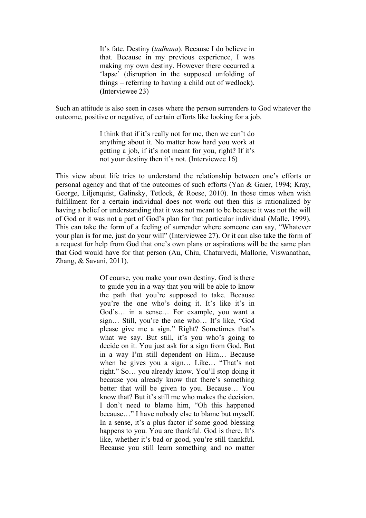It's fate. Destiny (*tadhana*). Because I do believe in that. Because in my previous experience, I was making my own destiny. However there occurred a 'lapse' (disruption in the supposed unfolding of things – referring to having a child out of wedlock). (Interviewee 23)

Such an attitude is also seen in cases where the person surrenders to God whatever the outcome, positive or negative, of certain efforts like looking for a job.

> I think that if it's really not for me, then we can't do anything about it. No matter how hard you work at getting a job, if it's not meant for you, right? If it's not your destiny then it's not. (Interviewee 16)

This view about life tries to understand the relationship between one's efforts or personal agency and that of the outcomes of such efforts (Yan & Gaier, 1994; Kray, George, Liljenquist, Galinsky, Tetlock, & Roese, 2010). In those times when wish fulfillment for a certain individual does not work out then this is rationalized by having a belief or understanding that it was not meant to be because it was not the will of God or it was not a part of God's plan for that particular individual (Malle, 1999). This can take the form of a feeling of surrender where someone can say, "Whatever your plan is for me, just do your will" (Interviewee 27). Or it can also take the form of a request for help from God that one's own plans or aspirations will be the same plan that God would have for that person (Au, Chiu, Chaturvedi, Mallorie, Viswanathan, Zhang, & Savani, 2011).

> Of course, you make your own destiny. God is there to guide you in a way that you will be able to know the path that you're supposed to take. Because you're the one who's doing it. It's like it's in God's… in a sense… For example, you want a sign… Still, you're the one who… It's like, "God please give me a sign." Right? Sometimes that's what we say. But still, it's you who's going to decide on it. You just ask for a sign from God. But in a way I'm still dependent on Him… Because when he gives you a sign… Like… "That's not right." So… you already know. You'll stop doing it because you already know that there's something better that will be given to you. Because… You know that? But it's still me who makes the decision. I don't need to blame him, "Oh this happened because…" I have nobody else to blame but myself. In a sense, it's a plus factor if some good blessing happens to you. You are thankful. God is there. It's like, whether it's bad or good, you're still thankful. Because you still learn something and no matter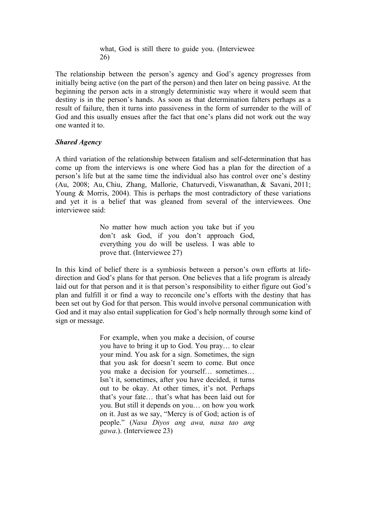what, God is still there to guide you. (Interviewee 26)

The relationship between the person's agency and God's agency progresses from initially being active (on the part of the person) and then later on being passive. At the beginning the person acts in a strongly deterministic way where it would seem that destiny is in the person's hands. As soon as that determination falters perhaps as a result of failure, then it turns into passiveness in the form of surrender to the will of God and this usually ensues after the fact that one's plans did not work out the way one wanted it to.

## *Shared Agency*

A third variation of the relationship between fatalism and self-determination that has come up from the interviews is one where God has a plan for the direction of a person's life but at the same time the individual also has control over one's destiny (Au, 2008; Au, Chiu, Zhang, Mallorie, Chaturvedi, Viswanathan, & Savani, 2011; Young & Morris, 2004). This is perhaps the most contradictory of these variations and yet it is a belief that was gleaned from several of the interviewees. One interviewee said:

> No matter how much action you take but if you don't ask God, if you don't approach God, everything you do will be useless. I was able to prove that. (Interviewee 27)

In this kind of belief there is a symbiosis between a person's own efforts at lifedirection and God's plans for that person. One believes that a life program is already laid out for that person and it is that person's responsibility to either figure out God's plan and fulfill it or find a way to reconcile one's efforts with the destiny that has been set out by God for that person. This would involve personal communication with God and it may also entail supplication for God's help normally through some kind of sign or message.

> For example, when you make a decision, of course you have to bring it up to God. You pray… to clear your mind. You ask for a sign. Sometimes, the sign that you ask for doesn't seem to come. But once you make a decision for yourself… sometimes… Isn't it, sometimes, after you have decided, it turns out to be okay. At other times, it's not. Perhaps that's your fate… that's what has been laid out for you. But still it depends on you… on how you work on it. Just as we say, "Mercy is of God; action is of people." (*Nasa Diyos ang awa, nasa tao ang gawa*.). (Interviewee 23)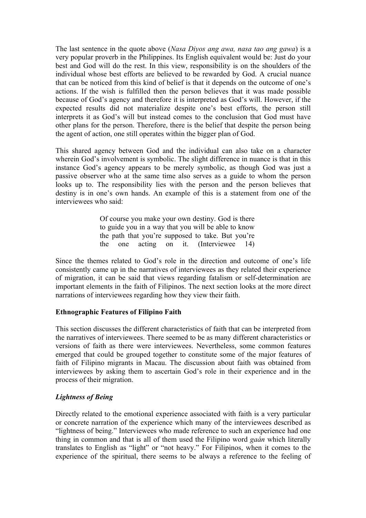The last sentence in the quote above (*Nasa Diyos ang awa, nasa tao ang gawa*) is a very popular proverb in the Philippines. Its English equivalent would be: Just do your best and God will do the rest. In this view, responsibility is on the shoulders of the individual whose best efforts are believed to be rewarded by God. A crucial nuance that can be noticed from this kind of belief is that it depends on the outcome of one's actions. If the wish is fulfilled then the person believes that it was made possible because of God's agency and therefore it is interpreted as God's will. However, if the expected results did not materialize despite one's best efforts, the person still interprets it as God's will but instead comes to the conclusion that God must have other plans for the person. Therefore, there is the belief that despite the person being the agent of action, one still operates within the bigger plan of God.

This shared agency between God and the individual can also take on a character wherein God's involvement is symbolic. The slight difference in nuance is that in this instance God's agency appears to be merely symbolic, as though God was just a passive observer who at the same time also serves as a guide to whom the person looks up to. The responsibility lies with the person and the person believes that destiny is in one's own hands. An example of this is a statement from one of the interviewees who said:

> Of course you make your own destiny. God is there to guide you in a way that you will be able to know the path that you're supposed to take. But you're the one acting on it. (Interviewee 14)

Since the themes related to God's role in the direction and outcome of one's life consistently came up in the narratives of interviewees as they related their experience of migration, it can be said that views regarding fatalism or self-determination are important elements in the faith of Filipinos. The next section looks at the more direct narrations of interviewees regarding how they view their faith.

# **Ethnographic Features of Filipino Faith**

This section discusses the different characteristics of faith that can be interpreted from the narratives of interviewees. There seemed to be as many different characteristics or versions of faith as there were interviewees. Nevertheless, some common features emerged that could be grouped together to constitute some of the major features of faith of Filipino migrants in Macau. The discussion about faith was obtained from interviewees by asking them to ascertain God's role in their experience and in the process of their migration.

# *Lightness of Being*

Directly related to the emotional experience associated with faith is a very particular or concrete narration of the experience which many of the interviewees described as "lightness of being." Interviewees who made reference to such an experience had one thing in common and that is all of them used the Filipino word *gaán* which literally translates to English as "light" or "not heavy." For Filipinos, when it comes to the experience of the spiritual, there seems to be always a reference to the feeling of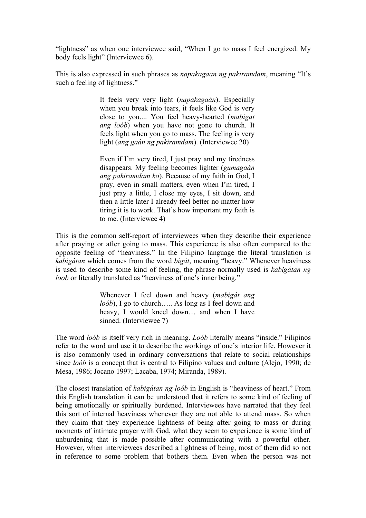"lightness" as when one interviewee said, "When I go to mass I feel energized. My body feels light" (Interviewee 6).

This is also expressed in such phrases as *napakagaan ng pakiramdam*, meaning "It's such a feeling of lightness."

> It feels very very light (*napakagaán*). Especially when you break into tears, it feels like God is very close to you.... You feel heavy-hearted (*mabigat ang loób*) when you have not gone to church. It feels light when you go to mass. The feeling is very light (*ang gaán ng pakiramdam*). (Interviewee 20)

> Even if I'm very tired, I just pray and my tiredness disappears. My feeling becomes lighter (*gumagaán ang pakiramdam ko*). Because of my faith in God, I pray, even in small matters, even when I'm tired, I just pray a little, I close my eyes, I sit down, and then a little later I already feel better no matter how tiring it is to work. That's how important my faith is to me. (Interviewee 4)

This is the common self-report of interviewees when they describe their experience after praying or after going to mass. This experience is also often compared to the opposite feeling of "heaviness." In the Filipino language the literal translation is *kabigátan* which comes from the word *bigát*, meaning "heavy." Whenever heaviness is used to describe some kind of feeling, the phrase normally used is *kabigátan ng loob* or literally translated as "heaviness of one's inner being."

> Whenever I feel down and heavy (*mabigát ang loób*). I go to church….. As long as I feel down and heavy, I would kneel down… and when I have sinned. (Interviewee 7)

The word *loób* is itself very rich in meaning. *Loób* literally means "inside." Filipinos refer to the word and use it to describe the workings of one's interior life. However it is also commonly used in ordinary conversations that relate to social relationships since *loób* is a concept that is central to Filipino values and culture (Alejo, 1990; de Mesa, 1986; Jocano 1997; Lacaba, 1974; Miranda, 1989).

The closest translation of *kabigátan ng loób* in English is "heaviness of heart." From this English translation it can be understood that it refers to some kind of feeling of being emotionally or spiritually burdened. Interviewees have narrated that they feel this sort of internal heaviness whenever they are not able to attend mass. So when they claim that they experience lightness of being after going to mass or during moments of intimate prayer with God, what they seem to experience is some kind of unburdening that is made possible after communicating with a powerful other. However, when interviewees described a lightness of being, most of them did so not in reference to some problem that bothers them. Even when the person was not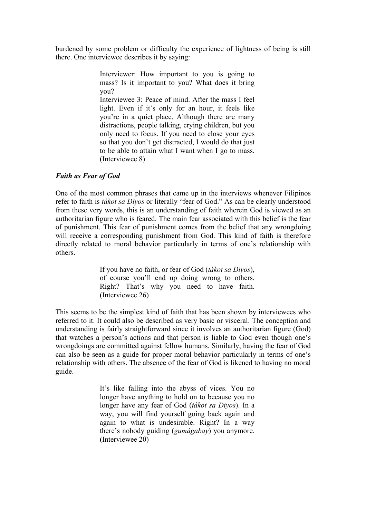burdened by some problem or difficulty the experience of lightness of being is still there. One interviewee describes it by saying:

> Interviewer: How important to you is going to mass? Is it important to you? What does it bring you?

> Interviewee 3: Peace of mind. After the mass I feel light. Even if it's only for an hour, it feels like you're in a quiet place. Although there are many distractions, people talking, crying children, but you only need to focus. If you need to close your eyes so that you don't get distracted, I would do that just to be able to attain what I want when I go to mass. (Interviewee 8)

# *Faith as Fear of God*

One of the most common phrases that came up in the interviews whenever Filipinos refer to faith is *tákot sa Diyos* or literally "fear of God." As can be clearly understood from these very words, this is an understanding of faith wherein God is viewed as an authoritarian figure who is feared. The main fear associated with this belief is the fear of punishment. This fear of punishment comes from the belief that any wrongdoing will receive a corresponding punishment from God. This kind of faith is therefore directly related to moral behavior particularly in terms of one's relationship with others.

> If you have no faith, or fear of God (*tákot sa Diyos*), of course you'll end up doing wrong to others. Right? That's why you need to have faith. (Interviewee 26)

This seems to be the simplest kind of faith that has been shown by interviewees who referred to it. It could also be described as very basic or visceral. The conception and understanding is fairly straightforward since it involves an authoritarian figure (God) that watches a person's actions and that person is liable to God even though one's wrongdoings are committed against fellow humans. Similarly, having the fear of God can also be seen as a guide for proper moral behavior particularly in terms of one's relationship with others. The absence of the fear of God is likened to having no moral guide.

> It's like falling into the abyss of vices. You no longer have anything to hold on to because you no longer have any fear of God (*tákot sa Diyos*). In a way, you will find yourself going back again and again to what is undesirable. Right? In a way there's nobody guiding (*gumágabay*) you anymore. (Interviewee 20)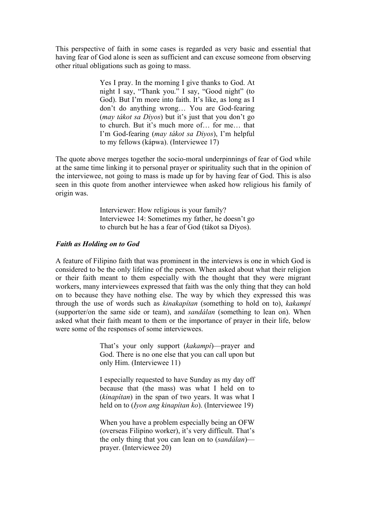This perspective of faith in some cases is regarded as very basic and essential that having fear of God alone is seen as sufficient and can excuse someone from observing other ritual obligations such as going to mass.

> Yes I pray. In the morning I give thanks to God. At night I say, "Thank you." I say, "Good night" (to God). But I'm more into faith. It's like, as long as I don't do anything wrong… You are God-fearing (*may tákot sa Diyos*) but it's just that you don't go to church. But it's much more of… for me… that I'm God-fearing (*may tákot sa Diyos*), I'm helpful to my fellows (kápwa). (Interviewee 17)

The quote above merges together the socio-moral underpinnings of fear of God while at the same time linking it to personal prayer or spirituality such that in the opinion of the interviewee, not going to mass is made up for by having fear of God. This is also seen in this quote from another interviewee when asked how religious his family of origin was.

> Interviewer: How religious is your family? Interviewee 14: Sometimes my father, he doesn't go to church but he has a fear of God (tákot sa Diyos).

#### *Faith as Holding on to God*

A feature of Filipino faith that was prominent in the interviews is one in which God is considered to be the only lifeline of the person. When asked about what their religion or their faith meant to them especially with the thought that they were migrant workers, many interviewees expressed that faith was the only thing that they can hold on to because they have nothing else. The way by which they expressed this was through the use of words such as *kinakapítan* (something to hold on to), *kakampí* (supporter/on the same side or team), and *sandálan* (something to lean on). When asked what their faith meant to them or the importance of prayer in their life, below were some of the responses of some interviewees.

> That's your only support (*kakampí*)—prayer and God. There is no one else that you can call upon but only Him. (Interviewee 11)

> I especially requested to have Sunday as my day off because that (the mass) was what I held on to (*kinapítan*) in the span of two years. It was what I held on to (*Iyon ang kinapítan ko*). (Interviewee 19)

> When you have a problem especially being an OFW (overseas Filipino worker), it's very difficult. That's the only thing that you can lean on to (*sandálan*) prayer. (Interviewee 20)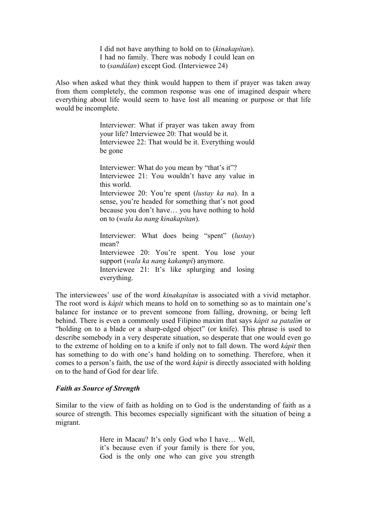I did not have anything to hold on to (*kinakapítan*). I had no family. There was nobody I could lean on to (*sandálan*) except God. (Interviewee 24)

Also when asked what they think would happen to them if prayer was taken away from them completely, the common response was one of imagined despair where everything about life would seem to have lost all meaning or purpose or that life would be incomplete.

> Interviewer: What if prayer was taken away from your life? Interviewee 20: That would be it. Interviewee 22: That would be it. Everything would be gone

> Interviewer: What do you mean by "that's it"? Interviewee 21: You wouldn't have any value in this world.

> Interviewee 20: You're spent (*lustay ka na*). In a sense, you're headed for something that's not good because you don't have… you have nothing to hold on to (*wala ka nang kinakapítan*).

Interviewer: What does being "spent" (*lustay*) mean? Interviewee 20: You're spent. You lose your support (*wala ka nang kakampí*) anymore. Interviewee 21: It's like splurging and losing everything.

The interviewees' use of the word *kinakapítan* is associated with a vivid metaphor. The root word is *kápit* which means to hold on to something so as to maintain one's balance for instance or to prevent someone from falling, drowning, or being left behind. There is even a commonly used Filipino maxim that says *kápit sa patalím* or "holding on to a blade or a sharp-edged object" (or knife). This phrase is used to describe somebody in a very desperate situation, so desperate that one would even go to the extreme of holding on to a knife if only not to fall down. The word *kápit* then has something to do with one's hand holding on to something. Therefore, when it comes to a person's faith, the use of the word *kápit* is directly associated with holding on to the hand of God for dear life.

#### *Faith as Source of Strength*

Similar to the view of faith as holding on to God is the understanding of faith as a source of strength. This becomes especially significant with the situation of being a migrant.

> Here in Macau? It's only God who I have… Well, it's because even if your family is there for you, God is the only one who can give you strength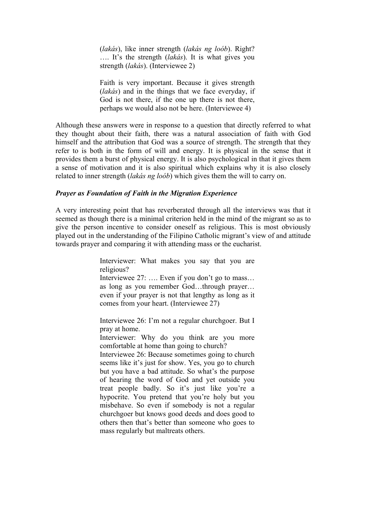(*lakás*), like inner strength (*lakás ng loób*). Right? …. It's the strength (*lakás*). It is what gives you strength (*lakás*). (Interviewee 2)

Faith is very important. Because it gives strength (*lakás*) and in the things that we face everyday, if God is not there, if the one up there is not there, perhaps we would also not be here. (Interviewee 4)

Although these answers were in response to a question that directly referred to what they thought about their faith, there was a natural association of faith with God himself and the attribution that God was a source of strength. The strength that they refer to is both in the form of will and energy. It is physical in the sense that it provides them a burst of physical energy. It is also psychological in that it gives them a sense of motivation and it is also spiritual which explains why it is also closely related to inner strength (*lakás ng loób*) which gives them the will to carry on.

#### *Prayer as Foundation of Faith in the Migration Experience*

A very interesting point that has reverberated through all the interviews was that it seemed as though there is a minimal criterion held in the mind of the migrant so as to give the person incentive to consider oneself as religious. This is most obviously played out in the understanding of the Filipino Catholic migrant's view of and attitude towards prayer and comparing it with attending mass or the eucharist.

> Interviewer: What makes you say that you are religious?

> Interviewee 27: …. Even if you don't go to mass… as long as you remember God…through prayer… even if your prayer is not that lengthy as long as it comes from your heart. (Interviewee 27)

> Interviewee 26: I'm not a regular churchgoer. But I pray at home.

> Interviewer: Why do you think are you more comfortable at home than going to church?

> Interviewee 26: Because sometimes going to church seems like it's just for show. Yes, you go to church but you have a bad attitude. So what's the purpose of hearing the word of God and yet outside you treat people badly. So it's just like you're a hypocrite. You pretend that you're holy but you misbehave. So even if somebody is not a regular churchgoer but knows good deeds and does good to others then that's better than someone who goes to mass regularly but maltreats others.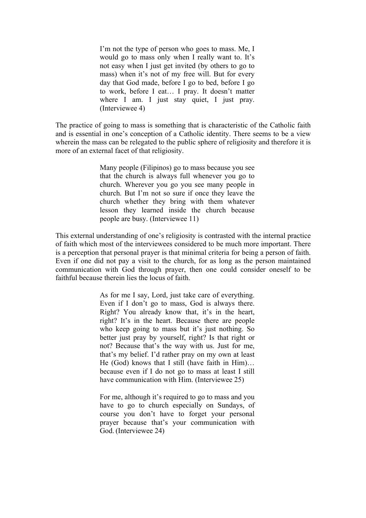I'm not the type of person who goes to mass. Me, I would go to mass only when I really want to. It's not easy when I just get invited (by others to go to mass) when it's not of my free will. But for every day that God made, before I go to bed, before I go to work, before I eat… I pray. It doesn't matter where I am. I just stay quiet, I just pray. (Interviewee 4)

The practice of going to mass is something that is characteristic of the Catholic faith and is essential in one's conception of a Catholic identity. There seems to be a view wherein the mass can be relegated to the public sphere of religiosity and therefore it is more of an external facet of that religiosity.

> Many people (Filipinos) go to mass because you see that the church is always full whenever you go to church. Wherever you go you see many people in church. But I'm not so sure if once they leave the church whether they bring with them whatever lesson they learned inside the church because people are busy. (Interviewee 11)

This external understanding of one's religiosity is contrasted with the internal practice of faith which most of the interviewees considered to be much more important. There is a perception that personal prayer is that minimal criteria for being a person of faith. Even if one did not pay a visit to the church, for as long as the person maintained communication with God through prayer, then one could consider oneself to be faithful because therein lies the locus of faith.

> As for me I say, Lord, just take care of everything. Even if I don't go to mass. God is always there. Right? You already know that, it's in the heart, right? It's in the heart. Because there are people who keep going to mass but it's just nothing. So better just pray by yourself, right? Is that right or not? Because that's the way with us. Just for me, that's my belief. I'd rather pray on my own at least He (God) knows that I still (have faith in Him)… because even if I do not go to mass at least I still have communication with Him. (Interviewee 25)

> For me, although it's required to go to mass and you have to go to church especially on Sundays, of course you don't have to forget your personal prayer because that's your communication with God. (Interviewee 24)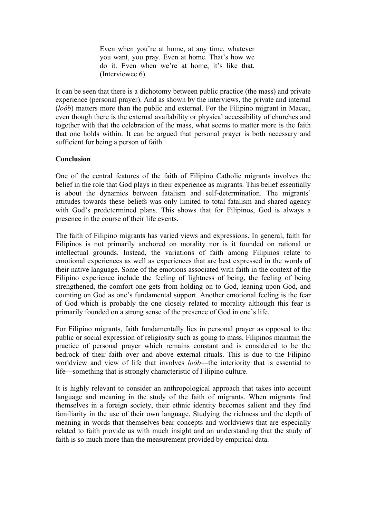Even when you're at home, at any time, whatever you want, you pray. Even at home. That's how we do it. Even when we're at home, it's like that. (Interviewee 6)

It can be seen that there is a dichotomy between public practice (the mass) and private experience (personal prayer). And as shown by the interviews, the private and internal (*loób*) matters more than the public and external. For the Filipino migrant in Macau, even though there is the external availability or physical accessibility of churches and together with that the celebration of the mass, what seems to matter more is the faith that one holds within. It can be argued that personal prayer is both necessary and sufficient for being a person of faith.

### **Conclusion**

One of the central features of the faith of Filipino Catholic migrants involves the belief in the role that God plays in their experience as migrants. This belief essentially is about the dynamics between fatalism and self-determination. The migrants' attitudes towards these beliefs was only limited to total fatalism and shared agency with God's predetermined plans. This shows that for Filipinos, God is always a presence in the course of their life events.

The faith of Filipino migrants has varied views and expressions. In general, faith for Filipinos is not primarily anchored on morality nor is it founded on rational or intellectual grounds. Instead, the variations of faith among Filipinos relate to emotional experiences as well as experiences that are best expressed in the words of their native language. Some of the emotions associated with faith in the context of the Filipino experience include the feeling of lightness of being, the feeling of being strengthened, the comfort one gets from holding on to God, leaning upon God, and counting on God as one's fundamental support. Another emotional feeling is the fear of God which is probably the one closely related to morality although this fear is primarily founded on a strong sense of the presence of God in one's life.

For Filipino migrants, faith fundamentally lies in personal prayer as opposed to the public or social expression of religiosity such as going to mass. Filipinos maintain the practice of personal prayer which remains constant and is considered to be the bedrock of their faith over and above external rituals. This is due to the Filipino worldview and view of life that involves *loób*—the interiority that is essential to life—something that is strongly characteristic of Filipino culture.

It is highly relevant to consider an anthropological approach that takes into account language and meaning in the study of the faith of migrants. When migrants find themselves in a foreign society, their ethnic identity becomes salient and they find familiarity in the use of their own language. Studying the richness and the depth of meaning in words that themselves bear concepts and worldviews that are especially related to faith provide us with much insight and an understanding that the study of faith is so much more than the measurement provided by empirical data.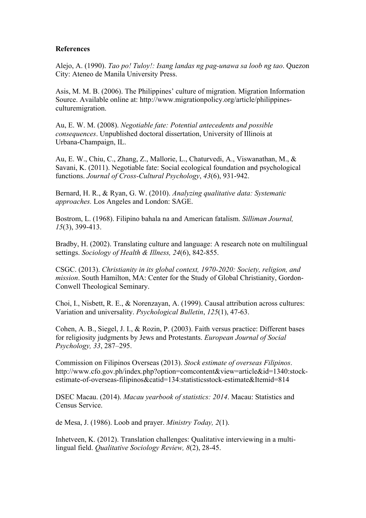## **References**

Alejo, A. (1990). *Tao po! Tuloy!: Isang landas ng pag-unawa sa loob ng tao*. Quezon City: Ateneo de Manila University Press.

Asis, M. M. B. (2006). The Philippines' culture of migration. Migration Information Source. Available online at: http://www.migrationpolicy.org/article/philippinesculturemigration.

Au, E. W. M. (2008). *Negotiable fate: Potential antecedents and possible consequences*. Unpublished doctoral dissertation, University of Illinois at Urbana-Champaign, IL.

Au, E. W., Chiu, C., Zhang, Z., Mallorie, L., Chaturvedi, A., Viswanathan, M., & Savani, K. (2011). Negotiable fate: Social ecological foundation and psychological functions. *Journal of Cross-Cultural Psychology*, *43*(6), 931-942.

Bernard, H. R., & Ryan, G. W. (2010). *Analyzing qualitative data: Systematic approaches.* Los Angeles and London: SAGE.

Bostrom, L. (1968). Filipino bahala na and American fatalism. *Silliman Journal, 15*(3), 399-413.

Bradby, H. (2002). Translating culture and language: A research note on multilingual settings. *Sociology of Health & Illness, 24*(6), 842-855.

CSGC. (2013). *Christianity in its global context, 1970-2020: Society, religion, and mission*. South Hamilton, MA: Center for the Study of Global Christianity, Gordon-Conwell Theological Seminary.

Choi, I., Nisbett, R. E., & Norenzayan, A. (1999). Causal attribution across cultures: Variation and universality. *Psychological Bulletin*, *125*(1), 47-63.

Cohen, A. B., Siegel, J. I., & Rozin, P. (2003). Faith versus practice: Different bases for religiosity judgments by Jews and Protestants. *European Journal of Social Psychology, 33*, 287–295.

Commission on Filipinos Overseas (2013). *Stock estimate of overseas Filipinos*. http://www.cfo.gov.ph/index.php?option=comcontent&view=article&id=1340:stockestimate-of-overseas-filipinos&catid=134:statisticsstock-estimate&Itemid=814

DSEC Macau. (2014). *Macau yearbook of statistics: 2014*. Macau: Statistics and Census Service.

de Mesa, J. (1986). Loob and prayer. *Ministry Today, 2*(1).

Inhetveen, K. (2012). Translation challenges: Qualitative interviewing in a multilingual field. *Qualitative Sociology Review, 8*(2), 28-45.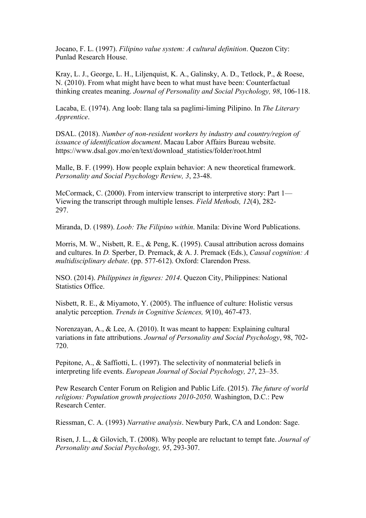Jocano, F. L. (1997). *Filipino value system: A cultural definition*. Quezon City: Punlad Research House.

Kray, L. J., George, L. H., Liljenquist, K. A., Galinsky, A. D., Tetlock, P., & Roese, N. (2010). From what might have been to what must have been: Counterfactual thinking creates meaning. *Journal of Personality and Social Psychology, 98*, 106-118.

Lacaba, E. (1974). Ang loob: Ilang tala sa paglimi-liming Pilipino. In *The Literary Apprentice*.

DSAL. (2018). *Number of non-resident workers by industry and country/region of issuance of identification document*. Macau Labor Affairs Bureau website. https://www.dsal.gov.mo/en/text/download\_statistics/folder/root.html

Malle, B. F. (1999). How people explain behavior: A new theoretical framework. *Personality and Social Psychology Review, 3*, 23-48.

McCormack, C. (2000). From interview transcript to interpretive story: Part 1— Viewing the transcript through multiple lenses. *Field Methods, 12*(4), 282- 297.

Miranda, D. (1989). *Loob: The Filipino within*. Manila: Divine Word Publications.

Morris, M. W., Nisbett, R. E., & Peng, K. (1995). Causal attribution across domains and cultures. In *D.* Sperber, D. Premack, & A. J. Premack (Eds.), *Causal cognition: A multidisciplinary debate*. (pp. 577-612). Oxford: Clarendon Press.

NSO. (2014). *Philippines in figures: 2014*. Quezon City, Philippines: National Statistics Office.

Nisbett, R. E., & Miyamoto, Y. (2005). The influence of culture: Holistic versus analytic perception. *Trends in Cognitive Sciences, 9*(10), 467-473.

Norenzayan, A., & Lee, A. (2010). It was meant to happen: Explaining cultural variations in fate attributions. *Journal of Personality and Social Psychology*, 98, 702- 720.

Pepitone, A., & Saffiotti, L. (1997). The selectivity of nonmaterial beliefs in interpreting life events. *European Journal of Social Psychology, 27*, 23–35.

Pew Research Center Forum on Religion and Public Life. (2015). *The future of world religions: Population growth projections 2010-2050*. Washington, D.C.: Pew Research Center.

Riessman, C. A. (1993) *Narrative analysis*. Newbury Park, CA and London: Sage.

Risen, J. L., & Gilovich, T. (2008). Why people are reluctant to tempt fate. *Journal of Personality and Social Psychology, 95*, 293-307.